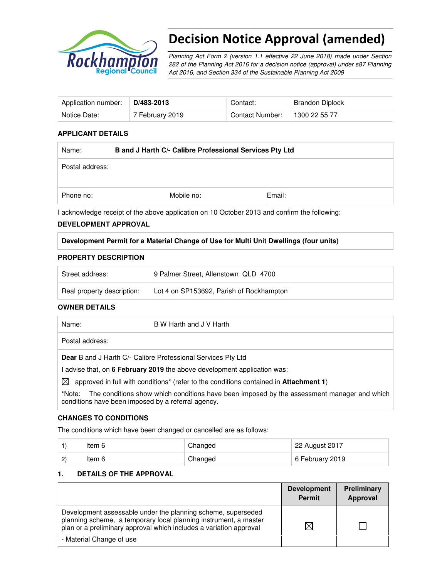

# Decision Notice Approval (amended)

Planning Act Form 2 (version 1.1 effective 22 June 2018) made under Section 282 of the Planning Act 2016 for a decision notice (approval) under s87 Planning Act 2016, and Section 334 of the Sustainable Planning Act 2009

| Application number: | D/483-2013      | Contact:        | Brandon Diplock |
|---------------------|-----------------|-----------------|-----------------|
| Notice Date:        | 7 February 2019 | Contact Number: | 1300 22 55 77   |

## **APPLICANT DETAILS**

| Name:           | B and J Harth C/- Calibre Professional Services Pty Ltd |        |  |
|-----------------|---------------------------------------------------------|--------|--|
| Postal address: |                                                         |        |  |
|                 |                                                         |        |  |
| Phone no:       | Mobile no:                                              | Email: |  |

I acknowledge receipt of the above application on 10 October 2013 and confirm the following:

#### **DEVELOPMENT APPROVAL**

#### **Development Permit for a Material Change of Use for Multi Unit Dwellings (four units)**

#### **PROPERTY DESCRIPTION**

| Street address:            | 9 Palmer Street, Allenstown QLD 4700     |
|----------------------------|------------------------------------------|
| Real property description: | Lot 4 on SP153692, Parish of Rockhampton |

#### **OWNER DETAILS**

| Name: | B W Harth and J V Harth |
|-------|-------------------------|
|       |                         |

Postal address:

**Dear** B and J Harth C/- Calibre Professional Services Pty Ltd

I advise that, on **6 February 2019** the above development application was:

 $\boxtimes$  approved in full with conditions<sup>\*</sup> (refer to the conditions contained in **Attachment 1**)

**\***Note:The conditions show which conditions have been imposed by the assessment manager and which conditions have been imposed by a referral agency.

## **CHANGES TO CONDITIONS**

The conditions which have been changed or cancelled are as follows:

|              | ltem 6 | Changed | 22 August 2017  |
|--------------|--------|---------|-----------------|
| $\mathbf{2}$ | ltem 6 | Changed | 6 February 2019 |

#### **1. DETAILS OF THE APPROVAL**

|                                                                                                                                                                                                        | <b>Development</b><br><b>Permit</b> | Preliminary<br>Approval |
|--------------------------------------------------------------------------------------------------------------------------------------------------------------------------------------------------------|-------------------------------------|-------------------------|
| Development assessable under the planning scheme, superseded<br>planning scheme, a temporary local planning instrument, a master<br>plan or a preliminary approval which includes a variation approval | $\times$                            |                         |
| - Material Change of use                                                                                                                                                                               |                                     |                         |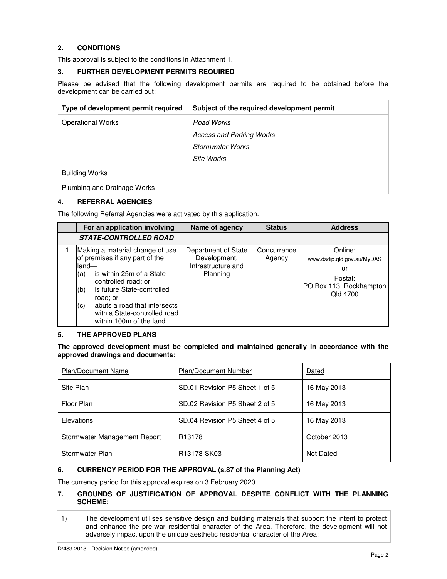## **2. CONDITIONS**

This approval is subject to the conditions in Attachment 1.

## **3. FURTHER DEVELOPMENT PERMITS REQUIRED**

Please be advised that the following development permits are required to be obtained before the development can be carried out:

| Type of development permit required | Subject of the required development permit |
|-------------------------------------|--------------------------------------------|
| <b>Operational Works</b>            | Road Works                                 |
|                                     | <b>Access and Parking Works</b>            |
|                                     | <b>Stormwater Works</b>                    |
|                                     | Site Works                                 |
| <b>Building Works</b>               |                                            |
| Plumbing and Drainage Works         |                                            |

#### **4. REFERRAL AGENCIES**

The following Referral Agencies were activated by this application.

|                             | For an application involving                                                                                                                                                                                                                               | Name of agency                                                        | <b>Status</b>         | <b>Address</b>                                                                                |
|-----------------------------|------------------------------------------------------------------------------------------------------------------------------------------------------------------------------------------------------------------------------------------------------------|-----------------------------------------------------------------------|-----------------------|-----------------------------------------------------------------------------------------------|
|                             | <b>STATE-CONTROLLED ROAD</b>                                                                                                                                                                                                                               |                                                                       |                       |                                                                                               |
| lland—<br>(a)<br>(b)<br>(c) | Making a material change of use<br>of premises if any part of the<br>is within 25m of a State-<br>controlled road; or<br>is future State-controlled<br>road; or<br>abuts a road that intersects<br>with a State-controlled road<br>within 100m of the land | Department of State<br>Development,<br>Infrastructure and<br>Planning | Concurrence<br>Agency | Online:<br>www.dsdip.qld.gov.au/MyDAS<br>or<br>Postal:<br>PO Box 113, Rockhampton<br>Old 4700 |

#### **5. THE APPROVED PLANS**

**The approved development must be completed and maintained generally in accordance with the approved drawings and documents:** 

| <b>Plan/Document Name</b>    | Plan/Document Number           | Dated        |
|------------------------------|--------------------------------|--------------|
| Site Plan                    | SD.01 Revision P5 Sheet 1 of 5 | 16 May 2013  |
| Floor Plan                   | SD.02 Revision P5 Sheet 2 of 5 | 16 May 2013  |
| Elevations                   | SD.04 Revision P5 Sheet 4 of 5 | 16 May 2013  |
| Stormwater Management Report | R <sub>13178</sub>             | October 2013 |
| Stormwater Plan              | R <sub>13178</sub> -SK03       | Not Dated    |

## **6. CURRENCY PERIOD FOR THE APPROVAL (s.87 of the Planning Act)**

The currency period for this approval expires on 3 February 2020.

## **7. GROUNDS OF JUSTIFICATION OF APPROVAL DESPITE CONFLICT WITH THE PLANNING SCHEME:**

1) The development utilises sensitive design and building materials that support the intent to protect and enhance the pre-war residential character of the Area. Therefore, the development will not adversely impact upon the unique aesthetic residential character of the Area;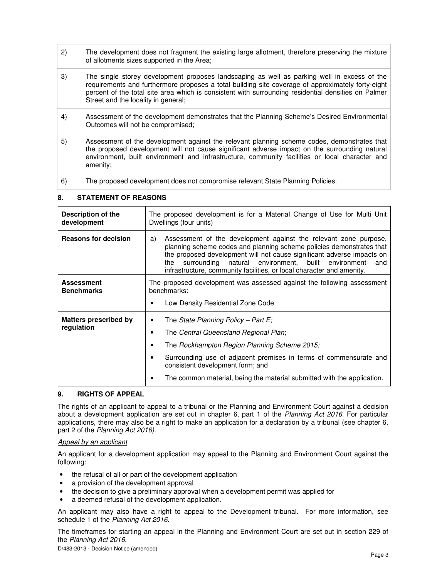- 2) The development does not fragment the existing large allotment, therefore preserving the mixture of allotments sizes supported in the Area;
- 3) The single storey development proposes landscaping as well as parking well in excess of the requirements and furthermore proposes a total building site coverage of approximately forty-eight percent of the total site area which is consistent with surrounding residential densities on Palmer Street and the locality in general;
- 4) Assessment of the development demonstrates that the Planning Scheme's Desired Environmental Outcomes will not be compromised;
- 5) Assessment of the development against the relevant planning scheme codes, demonstrates that the proposed development will not cause significant adverse impact on the surrounding natural environment, built environment and infrastructure, community facilities or local character and amenity;
- 6) The proposed development does not compromise relevant State Planning Policies.

## **8. STATEMENT OF REASONS**

| Description of the<br>development          | The proposed development is for a Material Change of Use for Multi Unit<br>Dwellings (four units)                                                                                                                                                                                                                                                                        |  |  |
|--------------------------------------------|--------------------------------------------------------------------------------------------------------------------------------------------------------------------------------------------------------------------------------------------------------------------------------------------------------------------------------------------------------------------------|--|--|
| <b>Reasons for decision</b>                | Assessment of the development against the relevant zone purpose,<br>a)<br>planning scheme codes and planning scheme policies demonstrates that<br>the proposed development will not cause significant adverse impacts on<br>natural environment, built environment<br>the<br>surrounding<br>and<br>infrastructure, community facilities, or local character and amenity. |  |  |
| <b>Assessment</b><br><b>Benchmarks</b>     | The proposed development was assessed against the following assessment<br>benchmarks:<br>Low Density Residential Zone Code                                                                                                                                                                                                                                               |  |  |
| <b>Matters prescribed by</b><br>regulation | The State Planning Policy – Part E;<br>٠<br>The Central Queensland Regional Plan;<br>The Rockhampton Region Planning Scheme 2015;<br>Surrounding use of adjacent premises in terms of commensurate and<br>consistent development form; and<br>The common material, being the material submitted with the application.                                                    |  |  |

## **9. RIGHTS OF APPEAL**

The rights of an applicant to appeal to a tribunal or the Planning and Environment Court against a decision about a development application are set out in chapter 6, part 1 of the Planning Act 2016. For particular applications, there may also be a right to make an application for a declaration by a tribunal (see chapter 6, part 2 of the Planning Act 2016).

#### Appeal by an applicant

An applicant for a development application may appeal to the Planning and Environment Court against the following:

- the refusal of all or part of the development application
- a provision of the development approval
- the decision to give a preliminary approval when a development permit was applied for
- a deemed refusal of the development application.

An applicant may also have a right to appeal to the Development tribunal. For more information, see schedule 1 of the Planning Act 2016.

The timeframes for starting an appeal in the Planning and Environment Court are set out in section 229 of the Planning Act 2016.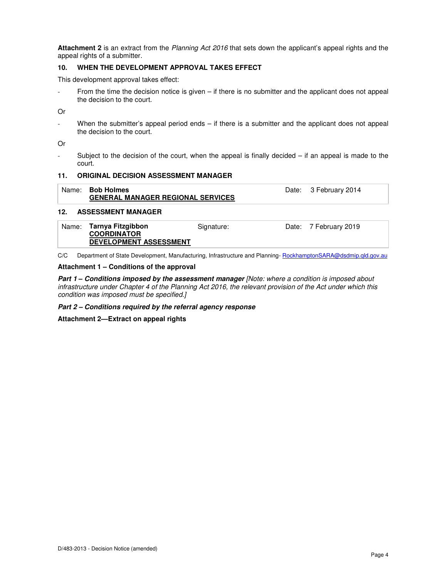**Attachment 2** is an extract from the Planning Act 2016 that sets down the applicant's appeal rights and the appeal rights of a submitter.

#### **10. WHEN THE DEVELOPMENT APPROVAL TAKES EFFECT**

This development approval takes effect:

From the time the decision notice is given  $-$  if there is no submitter and the applicant does not appeal the decision to the court.

Or

When the submitter's appeal period ends  $-$  if there is a submitter and the applicant does not appeal the decision to the court.

Or

Subject to the decision of the court, when the appeal is finally decided  $-$  if an appeal is made to the court.

#### **11. ORIGINAL DECISION ASSESSMENT MANAGER**

| Name: <b>Bob Holmes</b><br><b>GENERAL MANAGER REGIONAL SERVICES</b> | Date: 3 February 2014 |  |
|---------------------------------------------------------------------|-----------------------|--|
|                                                                     |                       |  |

#### **12. ASSESSMENT MANAGER**

| Name: Tarnya Fitzgibbon       | Signature: | Date: 7 February 2019 |
|-------------------------------|------------|-----------------------|
| <b>COORDINATOR</b>            |            |                       |
| <b>DEVELOPMENT ASSESSMENT</b> |            |                       |

C/C Department of State Development, Manufacturing, Infrastructure and Planning- RockhamptonSARA@dsdmip.qld.gov.au

#### **Attachment 1 – Conditions of the approval**

**Part 1 – Conditions imposed by the assessment manager** [Note: where a condition is imposed about infrastructure under Chapter 4 of the Planning Act 2016, the relevant provision of the Act under which this condition was imposed must be specified.]

**Part 2 – Conditions required by the referral agency response** 

**Attachment 2—Extract on appeal rights**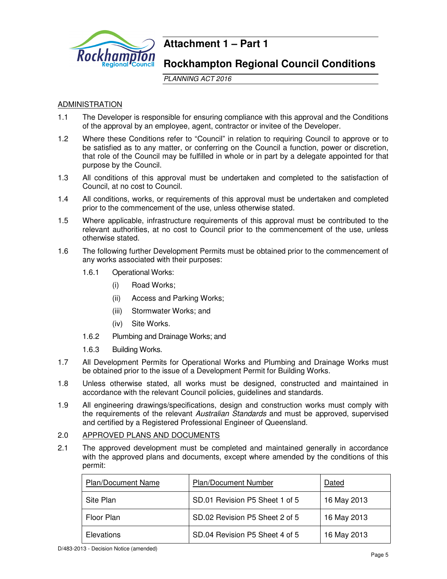

## **Attachment 1 – Part 1**

## **Rockhampton Regional Council Conditions**

PLANNING ACT 2016

## ADMINISTRATION

- 1.1 The Developer is responsible for ensuring compliance with this approval and the Conditions of the approval by an employee, agent, contractor or invitee of the Developer.
- 1.2 Where these Conditions refer to "Council" in relation to requiring Council to approve or to be satisfied as to any matter, or conferring on the Council a function, power or discretion, that role of the Council may be fulfilled in whole or in part by a delegate appointed for that purpose by the Council.
- 1.3 All conditions of this approval must be undertaken and completed to the satisfaction of Council, at no cost to Council.
- 1.4 All conditions, works, or requirements of this approval must be undertaken and completed prior to the commencement of the use, unless otherwise stated.
- 1.5 Where applicable, infrastructure requirements of this approval must be contributed to the relevant authorities, at no cost to Council prior to the commencement of the use, unless otherwise stated.
- 1.6 The following further Development Permits must be obtained prior to the commencement of any works associated with their purposes:
	- 1.6.1 Operational Works:
		- (i) Road Works;
		- (ii) Access and Parking Works;
		- (iii) Stormwater Works; and
		- (iv) Site Works.
	- 1.6.2 Plumbing and Drainage Works; and
	- 1.6.3 Building Works.
- 1.7 All Development Permits for Operational Works and Plumbing and Drainage Works must be obtained prior to the issue of a Development Permit for Building Works.
- 1.8 Unless otherwise stated, all works must be designed, constructed and maintained in accordance with the relevant Council policies, guidelines and standards.
- 1.9 All engineering drawings/specifications, design and construction works must comply with the requirements of the relevant Australian Standards and must be approved, supervised and certified by a Registered Professional Engineer of Queensland.

## 2.0 APPROVED PLANS AND DOCUMENTS

2.1 The approved development must be completed and maintained generally in accordance with the approved plans and documents, except where amended by the conditions of this permit:

| <b>Plan/Document Name</b> | <b>Plan/Document Number</b>    | Dated       |
|---------------------------|--------------------------------|-------------|
| Site Plan                 | SD.01 Revision P5 Sheet 1 of 5 | 16 May 2013 |
| Floor Plan                | SD.02 Revision P5 Sheet 2 of 5 | 16 May 2013 |
| <b>Elevations</b>         | SD.04 Revision P5 Sheet 4 of 5 | 16 May 2013 |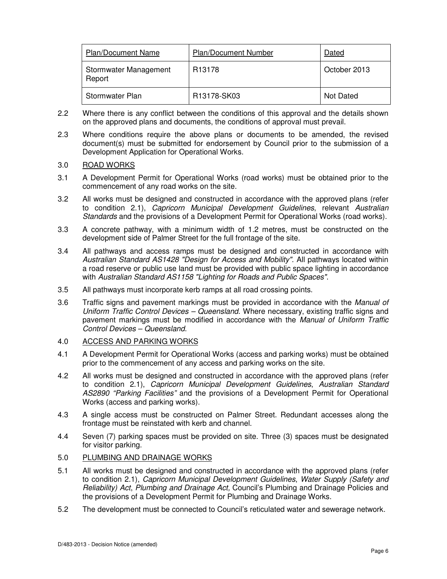| <b>Plan/Document Name</b>       | <b>Plan/Document Number</b> | Dated        |
|---------------------------------|-----------------------------|--------------|
| Stormwater Management<br>Report | R <sub>13178</sub>          | October 2013 |
| Stormwater Plan                 | R13178-SK03                 | Not Dated    |

- 2.2 Where there is any conflict between the conditions of this approval and the details shown on the approved plans and documents, the conditions of approval must prevail.
- 2.3 Where conditions require the above plans or documents to be amended, the revised document(s) must be submitted for endorsement by Council prior to the submission of a Development Application for Operational Works.

## 3.0 ROAD WORKS

- 3.1 A Development Permit for Operational Works (road works) must be obtained prior to the commencement of any road works on the site.
- 3.2 All works must be designed and constructed in accordance with the approved plans (refer to condition 2.1), Capricorn Municipal Development Guidelines, relevant Australian Standards and the provisions of a Development Permit for Operational Works (road works).
- 3.3 A concrete pathway, with a minimum width of 1.2 metres, must be constructed on the development side of Palmer Street for the full frontage of the site.
- 3.4 All pathways and access ramps must be designed and constructed in accordance with Australian Standard AS1428 "Design for Access and Mobility". All pathways located within a road reserve or public use land must be provided with public space lighting in accordance with Australian Standard AS1158 "Lighting for Roads and Public Spaces".
- 3.5 All pathways must incorporate kerb ramps at all road crossing points.
- 3.6 Traffic signs and pavement markings must be provided in accordance with the *Manual of* Uniform Traffic Control Devices – Queensland. Where necessary, existing traffic signs and pavement markings must be modified in accordance with the Manual of Uniform Traffic Control Devices – Queensland.

## 4.0 ACCESS AND PARKING WORKS

- 4.1 A Development Permit for Operational Works (access and parking works) must be obtained prior to the commencement of any access and parking works on the site.
- 4.2 All works must be designed and constructed in accordance with the approved plans (refer to condition 2.1), Capricorn Municipal Development Guidelines, Australian Standard AS2890 "Parking Facilities" and the provisions of a Development Permit for Operational Works (access and parking works).
- 4.3 A single access must be constructed on Palmer Street. Redundant accesses along the frontage must be reinstated with kerb and channel.
- 4.4 Seven (7) parking spaces must be provided on site. Three (3) spaces must be designated for visitor parking.

## 5.0 PLUMBING AND DRAINAGE WORKS

- 5.1 All works must be designed and constructed in accordance with the approved plans (refer to condition 2.1), Capricorn Municipal Development Guidelines, Water Supply (Safety and Reliability) Act, Plumbing and Drainage Act, Council's Plumbing and Drainage Policies and the provisions of a Development Permit for Plumbing and Drainage Works.
- 5.2 The development must be connected to Council's reticulated water and sewerage network.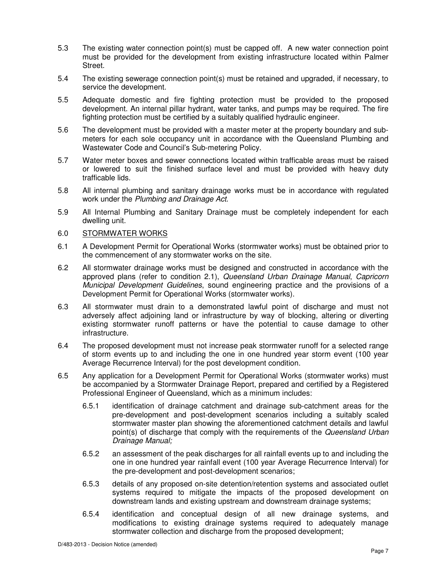- 5.3 The existing water connection point(s) must be capped off. A new water connection point must be provided for the development from existing infrastructure located within Palmer Street.
- 5.4 The existing sewerage connection point(s) must be retained and upgraded, if necessary, to service the development.
- 5.5 Adequate domestic and fire fighting protection must be provided to the proposed development. An internal pillar hydrant, water tanks, and pumps may be required. The fire fighting protection must be certified by a suitably qualified hydraulic engineer.
- 5.6 The development must be provided with a master meter at the property boundary and submeters for each sole occupancy unit in accordance with the Queensland Plumbing and Wastewater Code and Council's Sub-metering Policy.
- 5.7 Water meter boxes and sewer connections located within trafficable areas must be raised or lowered to suit the finished surface level and must be provided with heavy duty trafficable lids.
- 5.8 All internal plumbing and sanitary drainage works must be in accordance with regulated work under the Plumbing and Drainage Act.
- 5.9 All Internal Plumbing and Sanitary Drainage must be completely independent for each dwelling unit.

## 6.0 STORMWATER WORKS

- 6.1 A Development Permit for Operational Works (stormwater works) must be obtained prior to the commencement of any stormwater works on the site.
- 6.2 All stormwater drainage works must be designed and constructed in accordance with the approved plans (refer to condition 2.1), Queensland Urban Drainage Manual, Capricorn Municipal Development Guidelines, sound engineering practice and the provisions of a Development Permit for Operational Works (stormwater works).
- 6.3 All stormwater must drain to a demonstrated lawful point of discharge and must not adversely affect adjoining land or infrastructure by way of blocking, altering or diverting existing stormwater runoff patterns or have the potential to cause damage to other infrastructure.
- 6.4 The proposed development must not increase peak stormwater runoff for a selected range of storm events up to and including the one in one hundred year storm event (100 year Average Recurrence Interval) for the post development condition.
- 6.5 Any application for a Development Permit for Operational Works (stormwater works) must be accompanied by a Stormwater Drainage Report, prepared and certified by a Registered Professional Engineer of Queensland, which as a minimum includes:
	- 6.5.1 identification of drainage catchment and drainage sub-catchment areas for the pre-development and post-development scenarios including a suitably scaled stormwater master plan showing the aforementioned catchment details and lawful point(s) of discharge that comply with the requirements of the Queensland Urban Drainage Manual;
	- 6.5.2 an assessment of the peak discharges for all rainfall events up to and including the one in one hundred year rainfall event (100 year Average Recurrence Interval) for the pre-development and post-development scenarios;
	- 6.5.3 details of any proposed on-site detention/retention systems and associated outlet systems required to mitigate the impacts of the proposed development on downstream lands and existing upstream and downstream drainage systems;
	- 6.5.4 identification and conceptual design of all new drainage systems, and modifications to existing drainage systems required to adequately manage stormwater collection and discharge from the proposed development;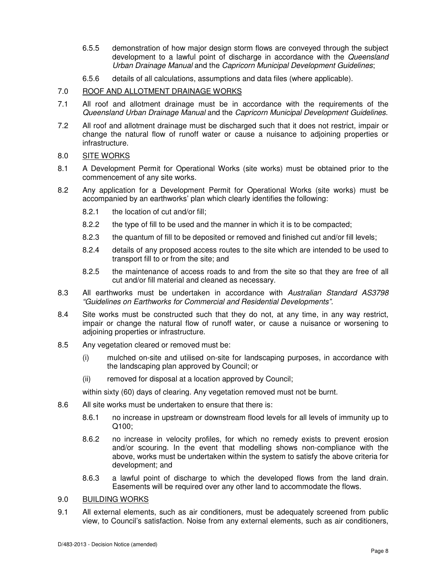- 6.5.5 demonstration of how major design storm flows are conveyed through the subject development to a lawful point of discharge in accordance with the Queensland Urban Drainage Manual and the Capricorn Municipal Development Guidelines;
- 6.5.6 details of all calculations, assumptions and data files (where applicable).

## 7.0 ROOF AND ALLOTMENT DRAINAGE WORKS

- 7.1 All roof and allotment drainage must be in accordance with the requirements of the Queensland Urban Drainage Manual and the Capricorn Municipal Development Guidelines.
- 7.2 All roof and allotment drainage must be discharged such that it does not restrict, impair or change the natural flow of runoff water or cause a nuisance to adjoining properties or infrastructure.

## 8.0 SITE WORKS

- 8.1 A Development Permit for Operational Works (site works) must be obtained prior to the commencement of any site works.
- 8.2 Any application for a Development Permit for Operational Works (site works) must be accompanied by an earthworks' plan which clearly identifies the following:
	- 8.2.1 the location of cut and/or fill;
	- 8.2.2 the type of fill to be used and the manner in which it is to be compacted;
	- 8.2.3 the quantum of fill to be deposited or removed and finished cut and/or fill levels;
	- 8.2.4 details of any proposed access routes to the site which are intended to be used to transport fill to or from the site; and
	- 8.2.5 the maintenance of access roads to and from the site so that they are free of all cut and/or fill material and cleaned as necessary.
- 8.3 All earthworks must be undertaken in accordance with Australian Standard AS3798 "Guidelines on Earthworks for Commercial and Residential Developments".
- 8.4 Site works must be constructed such that they do not, at any time, in any way restrict, impair or change the natural flow of runoff water, or cause a nuisance or worsening to adjoining properties or infrastructure.
- 8.5 Any vegetation cleared or removed must be:
	- (i) mulched on-site and utilised on-site for landscaping purposes, in accordance with the landscaping plan approved by Council; or
	- (ii) removed for disposal at a location approved by Council;

within sixty (60) days of clearing. Any vegetation removed must not be burnt.

- 8.6 All site works must be undertaken to ensure that there is:
	- 8.6.1 no increase in upstream or downstream flood levels for all levels of immunity up to Q100;
	- 8.6.2 no increase in velocity profiles, for which no remedy exists to prevent erosion and/or scouring. In the event that modelling shows non-compliance with the above, works must be undertaken within the system to satisfy the above criteria for development; and
	- 8.6.3 a lawful point of discharge to which the developed flows from the land drain. Easements will be required over any other land to accommodate the flows.
- 9.0 BUILDING WORKS
- 9.1 All external elements, such as air conditioners, must be adequately screened from public view, to Council's satisfaction. Noise from any external elements, such as air conditioners,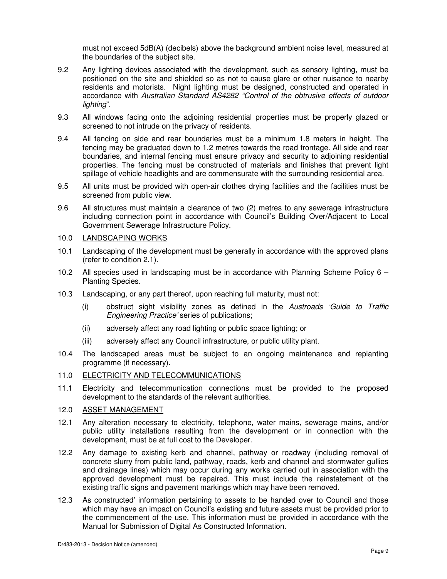must not exceed 5dB(A) (decibels) above the background ambient noise level, measured at the boundaries of the subject site.

- 9.2 Any lighting devices associated with the development, such as sensory lighting, must be positioned on the site and shielded so as not to cause glare or other nuisance to nearby residents and motorists. Night lighting must be designed, constructed and operated in accordance with Australian Standard AS4282 "Control of the obtrusive effects of outdoor lighting".
- 9.3 All windows facing onto the adjoining residential properties must be properly glazed or screened to not intrude on the privacy of residents.
- 9.4 All fencing on side and rear boundaries must be a minimum 1.8 meters in height. The fencing may be graduated down to 1.2 metres towards the road frontage. All side and rear boundaries, and internal fencing must ensure privacy and security to adjoining residential properties. The fencing must be constructed of materials and finishes that prevent light spillage of vehicle headlights and are commensurate with the surrounding residential area.
- 9.5 All units must be provided with open-air clothes drying facilities and the facilities must be screened from public view.
- 9.6 All structures must maintain a clearance of two (2) metres to any sewerage infrastructure including connection point in accordance with Council's Building Over/Adjacent to Local Government Sewerage Infrastructure Policy.

## 10.0 LANDSCAPING WORKS

- 10.1 Landscaping of the development must be generally in accordance with the approved plans (refer to condition 2.1).
- 10.2 All species used in landscaping must be in accordance with Planning Scheme Policy 6 Planting Species.
- 10.3 Landscaping, or any part thereof, upon reaching full maturity, must not:
	- (i) obstruct sight visibility zones as defined in the Austroads 'Guide to Traffic Engineering Practice' series of publications;
	- (ii) adversely affect any road lighting or public space lighting; or
	- (iii) adversely affect any Council infrastructure, or public utility plant.
- 10.4 The landscaped areas must be subject to an ongoing maintenance and replanting programme (if necessary).
- 11.0 ELECTRICITY AND TELECOMMUNICATIONS
- 11.1 Electricity and telecommunication connections must be provided to the proposed development to the standards of the relevant authorities.

## 12.0 ASSET MANAGEMENT

- 12.1 Any alteration necessary to electricity, telephone, water mains, sewerage mains, and/or public utility installations resulting from the development or in connection with the development, must be at full cost to the Developer.
- 12.2 Any damage to existing kerb and channel, pathway or roadway (including removal of concrete slurry from public land, pathway, roads, kerb and channel and stormwater gullies and drainage lines) which may occur during any works carried out in association with the approved development must be repaired. This must include the reinstatement of the existing traffic signs and pavement markings which may have been removed.
- 12.3 As constructed' information pertaining to assets to be handed over to Council and those which may have an impact on Council's existing and future assets must be provided prior to the commencement of the use. This information must be provided in accordance with the Manual for Submission of Digital As Constructed Information.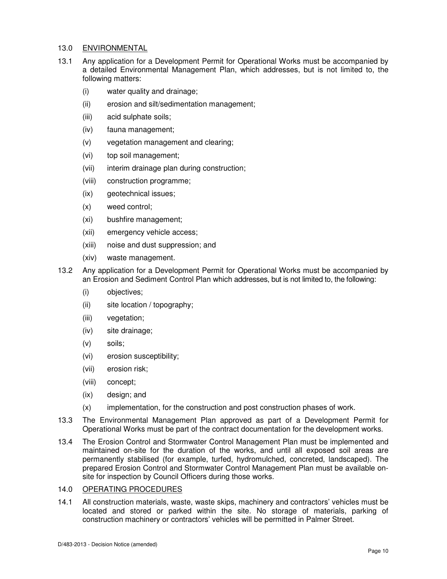## 13.0 ENVIRONMENTAL

- 13.1 Any application for a Development Permit for Operational Works must be accompanied by a detailed Environmental Management Plan, which addresses, but is not limited to, the following matters:
	- (i) water quality and drainage;
	- (ii) erosion and silt/sedimentation management;
	- (iii) acid sulphate soils;
	- (iv) fauna management;
	- (v) vegetation management and clearing;
	- (vi) top soil management;
	- (vii) interim drainage plan during construction;
	- (viii) construction programme;
	- (ix) geotechnical issues;
	- (x) weed control;
	- (xi) bushfire management;
	- (xii) emergency vehicle access;
	- (xiii) noise and dust suppression; and
	- (xiv) waste management.
- 13.2 Any application for a Development Permit for Operational Works must be accompanied by an Erosion and Sediment Control Plan which addresses, but is not limited to, the following:
	- (i) objectives;
	- (ii) site location / topography;
	- (iii) vegetation;
	- (iv) site drainage;
	- (v) soils;
	- (vi) erosion susceptibility;
	- (vii) erosion risk;
	- (viii) concept;
	- (ix) design; and
	- (x) implementation, for the construction and post construction phases of work.
- 13.3 The Environmental Management Plan approved as part of a Development Permit for Operational Works must be part of the contract documentation for the development works.
- 13.4 The Erosion Control and Stormwater Control Management Plan must be implemented and maintained on-site for the duration of the works, and until all exposed soil areas are permanently stabilised (for example, turfed, hydromulched, concreted, landscaped). The prepared Erosion Control and Stormwater Control Management Plan must be available onsite for inspection by Council Officers during those works.

## 14.0 OPERATING PROCEDURES

14.1 All construction materials, waste, waste skips, machinery and contractors' vehicles must be located and stored or parked within the site. No storage of materials, parking of construction machinery or contractors' vehicles will be permitted in Palmer Street.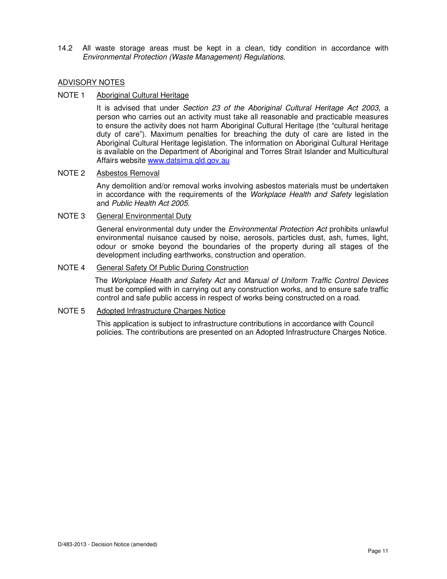14.2 All waste storage areas must be kept in a clean, tidy condition in accordance with Environmental Protection (Waste Management) Regulations.

## ADVISORY NOTES

#### NOTE 1 Aboriginal Cultural Heritage

It is advised that under Section 23 of the Aboriginal Cultural Heritage Act 2003, a person who carries out an activity must take all reasonable and practicable measures to ensure the activity does not harm Aboriginal Cultural Heritage (the "cultural heritage duty of care"). Maximum penalties for breaching the duty of care are listed in the Aboriginal Cultural Heritage legislation. The information on Aboriginal Cultural Heritage is available on the Department of Aboriginal and Torres Strait Islander and Multicultural Affairs website www.datsima.qld.gov.au

## NOTE 2 Asbestos Removal

Any demolition and/or removal works involving asbestos materials must be undertaken in accordance with the requirements of the Workplace Health and Safety legislation and Public Health Act 2005.

#### NOTE 3 General Environmental Duty

General environmental duty under the *Environmental Protection Act* prohibits unlawful environmental nuisance caused by noise, aerosols, particles dust, ash, fumes, light, odour or smoke beyond the boundaries of the property during all stages of the development including earthworks, construction and operation.

## NOTE 4 General Safety Of Public During Construction

The Workplace Health and Safety Act and Manual of Uniform Traffic Control Devices must be complied with in carrying out any construction works, and to ensure safe traffic control and safe public access in respect of works being constructed on a road.

## NOTE 5 Adopted Infrastructure Charges Notice

This application is subject to infrastructure contributions in accordance with Council policies. The contributions are presented on an Adopted Infrastructure Charges Notice.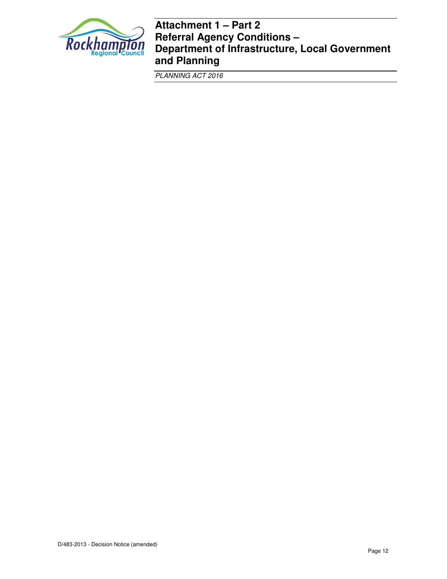

## **Attachment 1 – Part 2 Referral Agency Conditions – Department of Infrastructure, Local Government and Planning**

PLANNING ACT 2016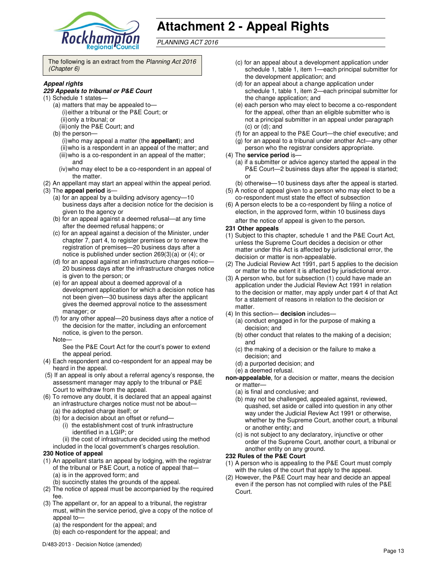

# **Attachment 2 - Appeal Rights**

PLANNING ACT 2016

The following is an extract from the Planning Act 2016 (Chapter 6)

#### **Appeal rights**

#### **229 Appeals to tribunal or P&E Court**

- (1) Schedule 1 states—
	- (a) matters that may be appealed to— (i) either a tribunal or the P&E Court; or (ii) only a tribunal; or (iii) only the P&E Court; and
	- (b) the person—
		- (i) who may appeal a matter (the **appellant**); and (ii) who is a respondent in an appeal of the matter; and (iii) who is a co-respondent in an appeal of the matter; and
		- (iv) who may elect to be a co-respondent in an appeal of the matter.
- (2) An appellant may start an appeal within the appeal period.
- (3) The **appeal period** is—
	- (a) for an appeal by a building advisory agency—10 business days after a decision notice for the decision is given to the agency or
	- (b) for an appeal against a deemed refusal—at any time after the deemed refusal happens; or
	- (c) for an appeal against a decision of the Minister, under chapter 7, part 4, to register premises or to renew the registration of premises—20 business days after a notice is published under section 269(3)(a) or (4); or
	- (d) for an appeal against an infrastructure charges notice— 20 business days after the infrastructure charges notice is given to the person; or
	- (e) for an appeal about a deemed approval of a development application for which a decision notice has not been given—30 business days after the applicant gives the deemed approval notice to the assessment manager; or
	- (f) for any other appeal—20 business days after a notice of the decision for the matter, including an enforcement notice, is given to the person.
	- Note—

See the P&E Court Act for the court's power to extend the appeal period.

- (4) Each respondent and co-respondent for an appeal may be heard in the appeal.
- (5) If an appeal is only about a referral agency's response, the assessment manager may apply to the tribunal or P&E Court to withdraw from the appeal.
- (6) To remove any doubt, it is declared that an appeal against an infrastructure charges notice must not be about—
	- (a) the adopted charge itself; or
	- (b) for a decision about an offset or refund—
		- (i) the establishment cost of trunk infrastructure identified in a LGIP; or
	- (ii) the cost of infrastructure decided using the method included in the local government's charges resolution.

#### **230 Notice of appeal**

- (1) An appellant starts an appeal by lodging, with the registrar of the tribunal or P&E Court, a notice of appeal that— (a) is in the approved form; and
	- (b) succinctly states the grounds of the appeal.
- (2) The notice of appeal must be accompanied by the required fee.
- (3) The appellant or, for an appeal to a tribunal, the registrar must, within the service period, give a copy of the notice of appeal to-
	- (a) the respondent for the appeal; and
	- (b) each co-respondent for the appeal; and
- (c) for an appeal about a development application under schedule 1, table 1, item 1—each principal submitter for the development application; and
- (d) for an appeal about a change application under schedule 1, table 1, item 2—each principal submitter for the change application; and
- (e) each person who may elect to become a co-respondent for the appeal, other than an eligible submitter who is not a principal submitter in an appeal under paragraph (c) or (d); and
- (f) for an appeal to the P&E Court—the chief executive; and
- (g) for an appeal to a tribunal under another Act—any other
- person who the registrar considers appropriate.

#### (4) The **service period** is—

- (a) if a submitter or advice agency started the appeal in the P&E Court-2 business days after the appeal is started; or
- (b) otherwise—10 business days after the appeal is started.
- (5) A notice of appeal given to a person who may elect to be a co-respondent must state the effect of subsection
- (6) A person elects to be a co-respondent by filing a notice of election, in the approved form, within 10 business days after the notice of appeal is given to the person*.*

#### **231 Other appeals**

- (1) Subject to this chapter, schedule 1 and the P&E Court Act, unless the Supreme Court decides a decision or other matter under this Act is affected by jurisdictional error, the decision or matter is non-appealable.
- (2) The Judicial Review Act 1991, part 5 applies to the decision or matter to the extent it is affected by jurisdictional error.
- (3) A person who, but for subsection (1) could have made an application under the Judicial Review Act 1991 in relation to the decision or matter, may apply under part 4 of that Act for a statement of reasons in relation to the decision or matter.
- (4) In this section— **decision** includes—
	- (a) conduct engaged in for the purpose of making a decision; and
	- (b) other conduct that relates to the making of a decision; and
	- (c) the making of a decision or the failure to make a decision; and
	- (d) a purported decision; and
	- (e) a deemed refusal.
- **non-appealable**, for a decision or matter, means the decision or matter—
	- (a) is final and conclusive; and
	- (b) may not be challenged, appealed against, reviewed, quashed, set aside or called into question in any other way under the Judicial Review Act 1991 or otherwise, whether by the Supreme Court, another court, a tribunal or another entity; and
	- (c) is not subject to any declaratory, injunctive or other order of the Supreme Court, another court, a tribunal or another entity on any ground.

#### **232 Rules of the P&E Court**

- (1) A person who is appealing to the P&E Court must comply with the rules of the court that apply to the appeal.
- (2) However, the P&E Court may hear and decide an appeal even if the person has not complied with rules of the P&E Court.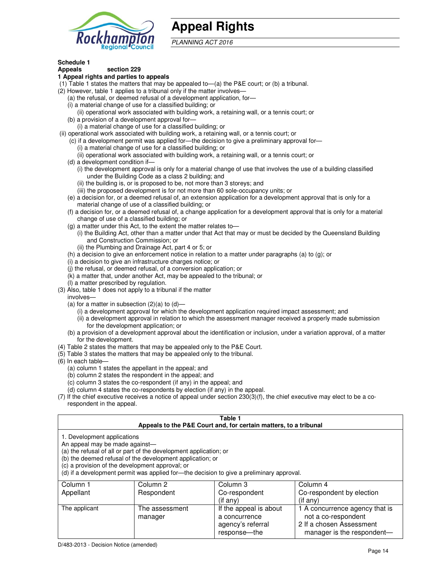

## **Appeal Rights**

PLANNING ACT 2016

## **Schedule 1**

#### **Appeals section 229 1 Appeal rights and parties to appeals**

- (1) Table 1 states the matters that may be appealed to—(a) the P&E court; or (b) a tribunal.
- (2) However, table 1 applies to a tribunal only if the matter involves—
	- (a) the refusal, or deemed refusal of a development application, for—
	- (i) a material change of use for a classified building; or
	- (ii) operational work associated with building work, a retaining wall, or a tennis court; or (b) a provision of a development approval for—
	- (i) a material change of use for a classified building; or
- (ii) operational work associated with building work, a retaining wall, or a tennis court; or
	- (c) if a development permit was applied for—the decision to give a preliminary approval for—
		- (i) a material change of use for a classified building; or
		- (ii) operational work associated with building work, a retaining wall, or a tennis court; or
	- (d) a development condition if—
		- (i) the development approval is only for a material change of use that involves the use of a building classified under the Building Code as a class 2 building; and
		- (ii) the building is, or is proposed to be, not more than 3 storeys; and
		- (iii) the proposed development is for not more than 60 sole-occupancy units; or
	- (e) a decision for, or a deemed refusal of, an extension application for a development approval that is only for a material change of use of a classified building; or
	- (f) a decision for, or a deemed refusal of, a change application for a development approval that is only for a material change of use of a classified building; or
	- (g) a matter under this Act, to the extent the matter relates to—
		- (i) the Building Act, other than a matter under that Act that may or must be decided by the Queensland Building and Construction Commission; or
		- (ii) the Plumbing and Drainage Act, part 4 or 5; or
	- (h) a decision to give an enforcement notice in relation to a matter under paragraphs (a) to (g); or
	- (i) a decision to give an infrastructure charges notice; or
	- (j) the refusal, or deemed refusal, of a conversion application; or
	- (k) a matter that, under another Act, may be appealed to the tribunal; or
	- (l) a matter prescribed by regulation.
- (3) Also, table 1 does not apply to a tribunal if the matter
- involves—
	- (a) for a matter in subsection  $(2)(a)$  to  $(d)$ 
		- (i) a development approval for which the development application required impact assessment; and
		- (ii) a development approval in relation to which the assessment manager received a properly made submission for the development application; or
	- (b) a provision of a development approval about the identification or inclusion, under a variation approval, of a matter for the development.
- (4) Table 2 states the matters that may be appealed only to the P&E Court.
- (5) Table 3 states the matters that may be appealed only to the tribunal.
- (6) In each table—
	- (a) column 1 states the appellant in the appeal; and
	- (b) column 2 states the respondent in the appeal; and
	- (c) column 3 states the co-respondent (if any) in the appeal; and
	- (d) column 4 states the co-respondents by election (if any) in the appeal.
- (7) If the chief executive receives a notice of appeal under section 230(3)(f), the chief executive may elect to be a corespondent in the appeal.

| Table 1<br>Appeals to the P&E Court and, for certain matters, to a tribunal                                                                                                                                                                                                                                                                    |                           |                                                              |                                                                                   |  |
|------------------------------------------------------------------------------------------------------------------------------------------------------------------------------------------------------------------------------------------------------------------------------------------------------------------------------------------------|---------------------------|--------------------------------------------------------------|-----------------------------------------------------------------------------------|--|
| 1. Development applications<br>An appeal may be made against-<br>(a) the refusal of all or part of the development application; or<br>(b) the deemed refusal of the development application; or<br>(c) a provision of the development approval; or<br>(d) if a development permit was applied for—the decision to give a preliminary approval. |                           |                                                              |                                                                                   |  |
| Column 2<br>Column 3<br>Column 4<br>Column 1<br>Appellant<br>Co-respondent<br>Co-respondent by election<br>Respondent<br>$($ if any $)$<br>$($ if any $)$                                                                                                                                                                                      |                           |                                                              |                                                                                   |  |
| The applicant                                                                                                                                                                                                                                                                                                                                  | The assessment<br>manager | If the appeal is about<br>a concurrence<br>agency's referral | 1 A concurrence agency that is<br>not a co-respondent<br>2 If a chosen Assessment |  |

response—the

manager is the respondent-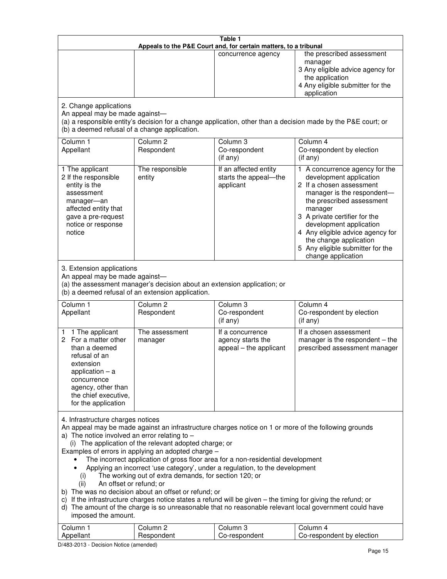| Table 1<br>Appeals to the P&E Court and, for certain matters, to a tribunal                                                                                                                                                                                                                                                                                                                                                                                                                                                                                                                                                                                                                                                                                                                                                                                                                                                                           |                                                                                                                               |                                                                 |                                                                                                                                                                                                                                                                                                                                                 |
|-------------------------------------------------------------------------------------------------------------------------------------------------------------------------------------------------------------------------------------------------------------------------------------------------------------------------------------------------------------------------------------------------------------------------------------------------------------------------------------------------------------------------------------------------------------------------------------------------------------------------------------------------------------------------------------------------------------------------------------------------------------------------------------------------------------------------------------------------------------------------------------------------------------------------------------------------------|-------------------------------------------------------------------------------------------------------------------------------|-----------------------------------------------------------------|-------------------------------------------------------------------------------------------------------------------------------------------------------------------------------------------------------------------------------------------------------------------------------------------------------------------------------------------------|
|                                                                                                                                                                                                                                                                                                                                                                                                                                                                                                                                                                                                                                                                                                                                                                                                                                                                                                                                                       |                                                                                                                               | concurrence agency                                              | the prescribed assessment<br>manager<br>3 Any eligible advice agency for<br>the application<br>4 Any eligible submitter for the<br>application                                                                                                                                                                                                  |
| 2. Change applications<br>An appeal may be made against-<br>(b) a deemed refusal of a change application.                                                                                                                                                                                                                                                                                                                                                                                                                                                                                                                                                                                                                                                                                                                                                                                                                                             |                                                                                                                               |                                                                 | (a) a responsible entity's decision for a change application, other than a decision made by the P&E court; or                                                                                                                                                                                                                                   |
| Column <sub>1</sub><br>Appellant                                                                                                                                                                                                                                                                                                                                                                                                                                                                                                                                                                                                                                                                                                                                                                                                                                                                                                                      | Column <sub>2</sub><br>Respondent                                                                                             | Column 3<br>Co-respondent<br>(if any)                           | Column 4<br>Co-respondent by election<br>(if any)                                                                                                                                                                                                                                                                                               |
| 1 The applicant<br>2 If the responsible<br>entity is the<br>assessment<br>manager-an<br>affected entity that<br>gave a pre-request<br>notice or response<br>notice                                                                                                                                                                                                                                                                                                                                                                                                                                                                                                                                                                                                                                                                                                                                                                                    | The responsible<br>entity                                                                                                     | If an affected entity<br>starts the appeal-the<br>applicant     | 1 A concurrence agency for the<br>development application<br>2 If a chosen assessment<br>manager is the respondent-<br>the prescribed assessment<br>manager<br>3 A private certifier for the<br>development application<br>4 Any eligible advice agency for<br>the change application<br>5 Any eligible submitter for the<br>change application |
| 3. Extension applications<br>An appeal may be made against-                                                                                                                                                                                                                                                                                                                                                                                                                                                                                                                                                                                                                                                                                                                                                                                                                                                                                           | (a) the assessment manager's decision about an extension application; or<br>(b) a deemed refusal of an extension application. |                                                                 |                                                                                                                                                                                                                                                                                                                                                 |
| Column <sub>1</sub><br>Appellant                                                                                                                                                                                                                                                                                                                                                                                                                                                                                                                                                                                                                                                                                                                                                                                                                                                                                                                      | Column <sub>2</sub><br>Respondent                                                                                             | Column 3<br>Co-respondent<br>(if any)                           | Column 4<br>Co-respondent by election<br>(if any)                                                                                                                                                                                                                                                                                               |
| 1 The applicant<br>1<br>2 For a matter other<br>than a deemed<br>refusal of an<br>extension<br>application $-$ a<br>concurrence<br>agency, other than<br>the chief executive,<br>for the application                                                                                                                                                                                                                                                                                                                                                                                                                                                                                                                                                                                                                                                                                                                                                  | The assessment<br>manager                                                                                                     | If a concurrence<br>agency starts the<br>appeal – the applicant | If a chosen assessment<br>manager is the respondent - the<br>prescribed assessment manager                                                                                                                                                                                                                                                      |
| 4. Infrastructure charges notices<br>An appeal may be made against an infrastructure charges notice on 1 or more of the following grounds<br>a) The notice involved an error relating to $-$<br>(i) The application of the relevant adopted charge; or<br>Examples of errors in applying an adopted charge -<br>The incorrect application of gross floor area for a non-residential development<br>Applying an incorrect 'use category', under a regulation, to the development<br>The working out of extra demands, for section 120; or<br>(i)<br>An offset or refund; or<br>(ii)<br>b) The was no decision about an offset or refund; or<br>c) If the infrastructure charges notice states a refund will be given – the timing for giving the refund; or<br>d) The amount of the charge is so unreasonable that no reasonable relevant local government could have<br>imposed the amount.<br>Column <sub>2</sub><br>Column <sub>3</sub><br>Column 4 |                                                                                                                               |                                                                 |                                                                                                                                                                                                                                                                                                                                                 |
| Column 1<br>Appellant                                                                                                                                                                                                                                                                                                                                                                                                                                                                                                                                                                                                                                                                                                                                                                                                                                                                                                                                 | Respondent                                                                                                                    | Co-respondent                                                   | Co-respondent by election                                                                                                                                                                                                                                                                                                                       |

D/483-2013 - Decision Notice (amended)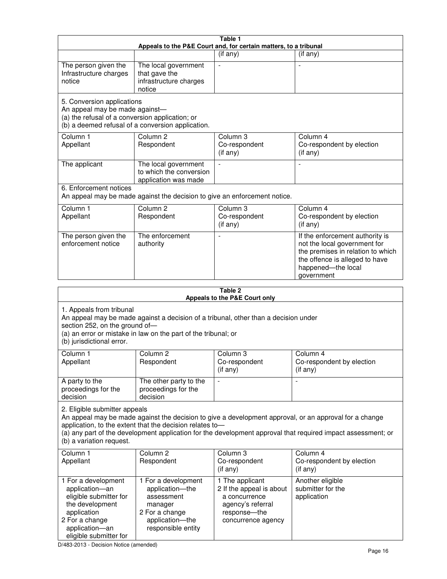| Table 1<br>Appeals to the P&E Court and, for certain matters, to a tribunal                                                                                                                                                                                                                                                                     |                                                                                                                            |                                                                                                                         |                                                                                                                                                                            |  |
|-------------------------------------------------------------------------------------------------------------------------------------------------------------------------------------------------------------------------------------------------------------------------------------------------------------------------------------------------|----------------------------------------------------------------------------------------------------------------------------|-------------------------------------------------------------------------------------------------------------------------|----------------------------------------------------------------------------------------------------------------------------------------------------------------------------|--|
|                                                                                                                                                                                                                                                                                                                                                 |                                                                                                                            | (if any)                                                                                                                | $($ if any $)$                                                                                                                                                             |  |
| The person given the<br>Infrastructure charges<br>notice                                                                                                                                                                                                                                                                                        | The local government<br>that gave the<br>infrastructure charges<br>notice                                                  |                                                                                                                         |                                                                                                                                                                            |  |
| 5. Conversion applications<br>An appeal may be made against-<br>(a) the refusal of a conversion application; or                                                                                                                                                                                                                                 | (b) a deemed refusal of a conversion application.                                                                          |                                                                                                                         |                                                                                                                                                                            |  |
| Column 1<br>Appellant                                                                                                                                                                                                                                                                                                                           | Column <sub>2</sub><br>Respondent                                                                                          | Column 3<br>Co-respondent<br>(if any)                                                                                   | Column 4<br>Co-respondent by election<br>(if any)                                                                                                                          |  |
| The applicant                                                                                                                                                                                                                                                                                                                                   | The local government<br>to which the conversion<br>application was made                                                    |                                                                                                                         | $\blacksquare$                                                                                                                                                             |  |
| 6. Enforcement notices                                                                                                                                                                                                                                                                                                                          |                                                                                                                            | An appeal may be made against the decision to give an enforcement notice.                                               |                                                                                                                                                                            |  |
| Column 1<br>Appellant                                                                                                                                                                                                                                                                                                                           | Column <sub>2</sub><br>Respondent                                                                                          | Column 3<br>Co-respondent<br>(if any)                                                                                   | Column 4<br>Co-respondent by election<br>(if any)                                                                                                                          |  |
| The person given the<br>enforcement notice                                                                                                                                                                                                                                                                                                      | The enforcement<br>authority                                                                                               |                                                                                                                         | If the enforcement authority is<br>not the local government for<br>the premises in relation to which<br>the offence is alleged to have<br>happened-the local<br>government |  |
|                                                                                                                                                                                                                                                                                                                                                 |                                                                                                                            | Table 2<br>Appeals to the P&E Court only                                                                                |                                                                                                                                                                            |  |
| 1. Appeals from tribunal<br>An appeal may be made against a decision of a tribunal, other than a decision under<br>section 252, on the ground of-<br>(a) an error or mistake in law on the part of the tribunal; or<br>(b) jurisdictional error.                                                                                                |                                                                                                                            |                                                                                                                         |                                                                                                                                                                            |  |
| Column 1<br>Appellant                                                                                                                                                                                                                                                                                                                           | Column 2<br>Respondent                                                                                                     | Column 3<br>Co-respondent<br>(if any)                                                                                   | Column 4<br>Co-respondent by election<br>$($ if any $)$                                                                                                                    |  |
| A party to the<br>proceedings for the<br>decision                                                                                                                                                                                                                                                                                               | The other party to the<br>proceedings for the<br>decision                                                                  |                                                                                                                         |                                                                                                                                                                            |  |
| 2. Eligible submitter appeals<br>An appeal may be made against the decision to give a development approval, or an approval for a change<br>application, to the extent that the decision relates to-<br>(a) any part of the development application for the development approval that required impact assessment; or<br>(b) a variation request. |                                                                                                                            |                                                                                                                         |                                                                                                                                                                            |  |
| Column <sub>1</sub><br>Appellant                                                                                                                                                                                                                                                                                                                | Column <sub>2</sub><br>Respondent                                                                                          | Column 3<br>Co-respondent<br>(if any)                                                                                   | Column 4<br>Co-respondent by election<br>(if any)                                                                                                                          |  |
| 1 For a development<br>application-an<br>eligible submitter for<br>the development<br>application<br>2 For a change<br>application-an                                                                                                                                                                                                           | 1 For a development<br>application-the<br>assessment<br>manager<br>2 For a change<br>application-the<br>responsible entity | 1 The applicant<br>2 If the appeal is about<br>a concurrence<br>agency's referral<br>response-the<br>concurrence agency | Another eligible<br>submitter for the<br>application                                                                                                                       |  |

D/483-2013 - Decision Notice (amended)

eligible submitter for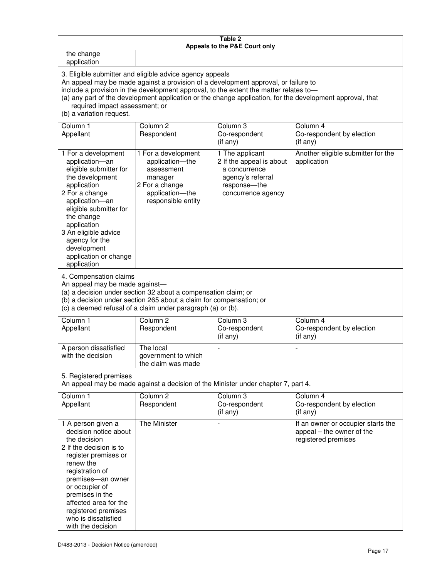| Table 2<br>Appeals to the P&E Court only                                                                                                                                                                                                                                                                                                                                                                           |                                                                                                                            |                                                                                                                         |                                                                                        |
|--------------------------------------------------------------------------------------------------------------------------------------------------------------------------------------------------------------------------------------------------------------------------------------------------------------------------------------------------------------------------------------------------------------------|----------------------------------------------------------------------------------------------------------------------------|-------------------------------------------------------------------------------------------------------------------------|----------------------------------------------------------------------------------------|
| the change<br>application                                                                                                                                                                                                                                                                                                                                                                                          |                                                                                                                            |                                                                                                                         |                                                                                        |
| 3. Eligible submitter and eligible advice agency appeals<br>An appeal may be made against a provision of a development approval, or failure to<br>include a provision in the development approval, to the extent the matter relates to-<br>(a) any part of the development application or the change application, for the development approval, that<br>required impact assessment; or<br>(b) a variation request. |                                                                                                                            |                                                                                                                         |                                                                                        |
| Column 1<br>Appellant                                                                                                                                                                                                                                                                                                                                                                                              | Column <sub>2</sub><br>Respondent                                                                                          | Column 3<br>Co-respondent<br>(if any)                                                                                   | Column 4<br>Co-respondent by election<br>(if any)                                      |
| 1 For a development<br>application-an<br>eligible submitter for<br>the development<br>application<br>2 For a change<br>application-an<br>eligible submitter for<br>the change<br>application<br>3 An eligible advice<br>agency for the<br>development<br>application or change<br>application                                                                                                                      | 1 For a development<br>application-the<br>assessment<br>manager<br>2 For a change<br>application-the<br>responsible entity | 1 The applicant<br>2 If the appeal is about<br>a concurrence<br>agency's referral<br>response-the<br>concurrence agency | Another eligible submitter for the<br>application                                      |
| 4. Compensation claims<br>An appeal may be made against-<br>(a) a decision under section 32 about a compensation claim; or<br>(b) a decision under section 265 about a claim for compensation; or<br>(c) a deemed refusal of a claim under paragraph (a) or (b).                                                                                                                                                   |                                                                                                                            |                                                                                                                         |                                                                                        |
| Column <sub>1</sub><br>Appellant                                                                                                                                                                                                                                                                                                                                                                                   | Column <sub>2</sub><br>Respondent                                                                                          | Column 3<br>Co-respondent<br>(if any)                                                                                   | Column 4<br>Co-respondent by election<br>(if any)                                      |
| A person dissatisfied<br>with the decision                                                                                                                                                                                                                                                                                                                                                                         | The local<br>government to which<br>the claim was made                                                                     | ÷,                                                                                                                      | $\overline{a}$                                                                         |
| 5. Registered premises<br>An appeal may be made against a decision of the Minister under chapter 7, part 4.                                                                                                                                                                                                                                                                                                        |                                                                                                                            |                                                                                                                         |                                                                                        |
| Column 1<br>Appellant                                                                                                                                                                                                                                                                                                                                                                                              | Column <sub>2</sub><br>Respondent                                                                                          | Column <sub>3</sub><br>Co-respondent<br>(if any)                                                                        | Column 4<br>Co-respondent by election<br>(if any)                                      |
| 1 A person given a<br>decision notice about<br>the decision<br>2 If the decision is to<br>register premises or<br>renew the<br>registration of<br>premises-an owner<br>or occupier of<br>premises in the<br>affected area for the<br>registered premises<br>who is dissatisfied<br>with the decision                                                                                                               | <b>The Minister</b>                                                                                                        |                                                                                                                         | If an owner or occupier starts the<br>appeal - the owner of the<br>registered premises |